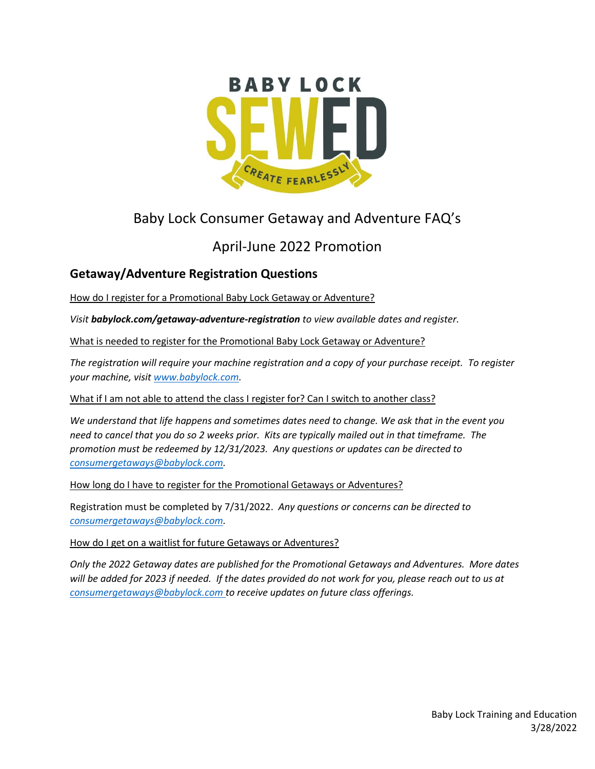

# Baby Lock Consumer Getaway and Adventure FAQ's

## April-June 2022 Promotion

### **Getaway/Adventure Registration Questions**

How do I register for a Promotional Baby Lock Getaway or Adventure?

*Visit babylock.com/getaway-adventure-registration to view available dates and register.* 

What is needed to register for the Promotional Baby Lock Getaway or Adventure?

*The registration will require your machine registration and a copy of your purchase receipt. To register your machine, visit [www.babylock.com.](http://www.babylock.com/)* 

What if I am not able to attend the class I register for? Can I switch to another class?

*We understand that life happens and sometimes dates need to change. We ask that in the event you need to cancel that you do so 2 weeks prior. Kits are typically mailed out in that timeframe. The promotion must be redeemed by 12/31/2023. Any questions or updates can be directed to [consumergetaways@babylock.com.](mailto:consumergetaways@babylock.com)*

How long do I have to register for the Promotional Getaways or Adventures?

Registration must be completed by 7/31/2022. *Any questions or concerns can be directed to [consumergetaways@babylock.com.](mailto:consumergetaways@babylock.com)*

How do I get on a waitlist for future Getaways or Adventures?

*Only the 2022 Getaway dates are published for the Promotional Getaways and Adventures. More dates will be added for 2023 if needed. If the dates provided do not work for you, please reach out to us at [consumergetaways@babylock.com](mailto:consumergetaways@babylock.com) to receive updates on future class offerings.*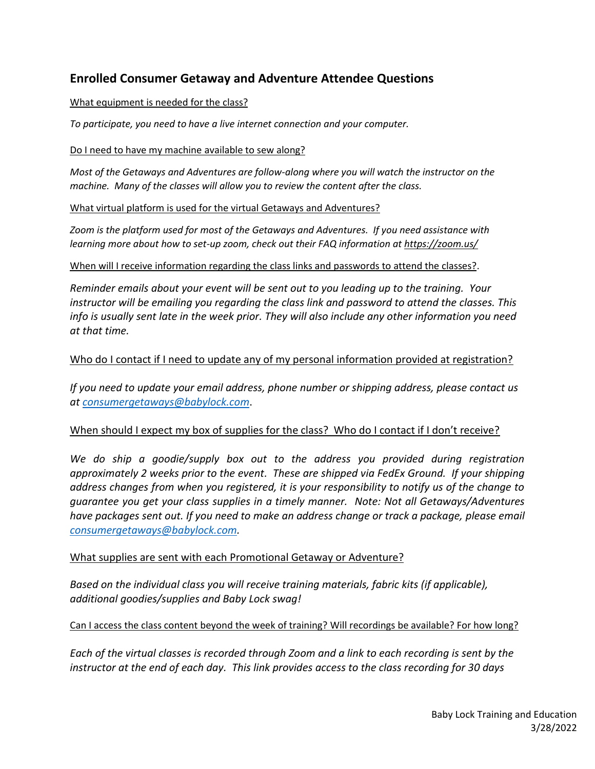### **Enrolled Consumer Getaway and Adventure Attendee Questions**

#### What equipment is needed for the class?

*To participate, you need to have a live internet connection and your computer.* 

#### Do I need to have my machine available to sew along?

*Most of the Getaways and Adventures are follow-along where you will watch the instructor on the machine. Many of the classes will allow you to review the content after the class.*

#### What virtual platform is used for the virtual Getaways and Adventures?

*Zoom is the platform used for most of the Getaways and Adventures. If you need assistance with learning more about how to set-up zoom, check out their FAQ information at https://zoom.us/*

#### When will I receive information regarding the class links and passwords to attend the classes?.

*Reminder emails about your event will be sent out to you leading up to the training. Your instructor will be emailing you regarding the class link and password to attend the classes. This info is usually sent late in the week prior. They will also include any other information you need at that time.*

#### Who do I contact if I need to update any of my personal information provided at registration?

*If you need to update your email address, phone number or shipping address, please contact us at [consumergetaways@babylock.com](mailto:consumergetaways@babylock.com)*.

#### When should I expect my box of supplies for the class? Who do I contact if I don't receive?

*We do ship a goodie/supply box out to the address you provided during registration approximately 2 weeks prior to the event. These are shipped via FedEx Ground. If your shipping address changes from when you registered, it is your responsibility to notify us of the change to guarantee you get your class supplies in a timely manner. Note: Not all Getaways/Adventures have packages sent out. If you need to make an address change or track a package, please email [consumergetaways@babylock.com.](mailto:consumergetaways@babylock.com)*

#### What supplies are sent with each Promotional Getaway or Adventure?

*Based on the individual class you will receive training materials, fabric kits (if applicable), additional goodies/supplies and Baby Lock swag!* 

#### Can I access the class content beyond the week of training? Will recordings be available? For how long?

*Each of the virtual classes is recorded through Zoom and a link to each recording is sent by the instructor at the end of each day. This link provides access to the class recording for 30 days*